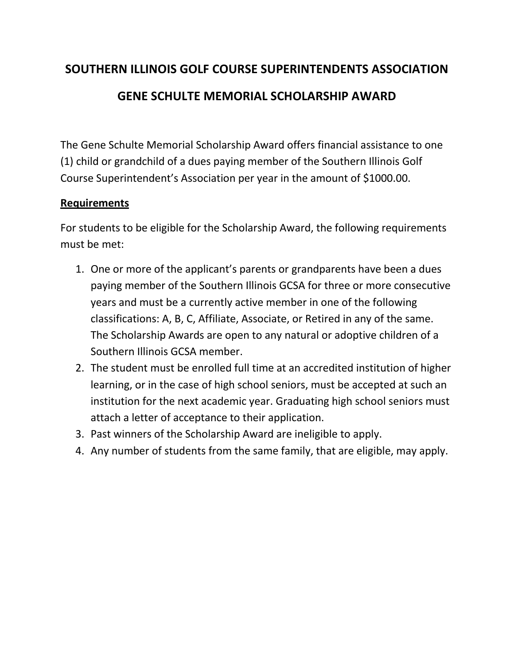### **SOUTHERN ILLINOIS GOLF COURSE SUPERINTENDENTS ASSOCIATION**

### **GENE SCHULTE MEMORIAL SCHOLARSHIP AWARD**

The Gene Schulte Memorial Scholarship Award offers financial assistance to one (1) child or grandchild of a dues paying member of the Southern Illinois Golf Course Superintendent's Association per year in the amount of \$1000.00.

#### **Requirements**

For students to be eligible for the Scholarship Award, the following requirements must be met:

- 1. One or more of the applicant's parents or grandparents have been a dues paying member of the Southern Illinois GCSA for three or more consecutive years and must be a currently active member in one of the following classifications: A, B, C, Affiliate, Associate, or Retired in any of the same. The Scholarship Awards are open to any natural or adoptive children of a Southern Illinois GCSA member.
- 2. The student must be enrolled full time at an accredited institution of higher learning, or in the case of high school seniors, must be accepted at such an institution for the next academic year. Graduating high school seniors must attach a letter of acceptance to their application.
- 3. Past winners of the Scholarship Award are ineligible to apply.
- 4. Any number of students from the same family, that are eligible, may apply.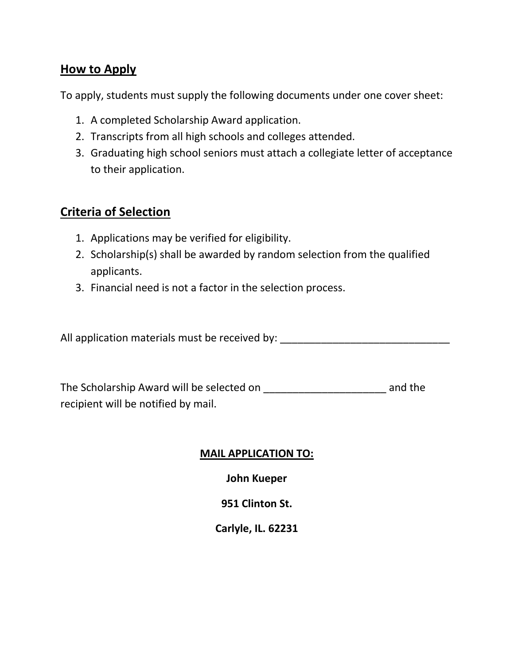#### **How to Apply**

To apply, students must supply the following documents under one cover sheet:

- 1. A completed Scholarship Award application.
- 2. Transcripts from all high schools and colleges attended.
- 3. Graduating high school seniors must attach a collegiate letter of acceptance to their application.

### **Criteria of Selection**

- 1. Applications may be verified for eligibility.
- 2. Scholarship(s) shall be awarded by random selection from the qualified applicants.
- 3. Financial need is not a factor in the selection process.

All application materials must be received by: \_\_\_\_\_\_\_\_\_\_\_\_\_\_\_\_\_\_\_\_\_\_\_\_\_\_\_\_\_\_\_\_\_

The Scholarship Award will be selected on \_\_\_\_\_\_\_\_\_\_\_\_\_\_\_\_\_\_\_\_\_ and the recipient will be notified by mail.

#### **MAIL APPLICATION TO:**

**John Kueper**

**951 Clinton St.**

**Carlyle, IL. 62231**